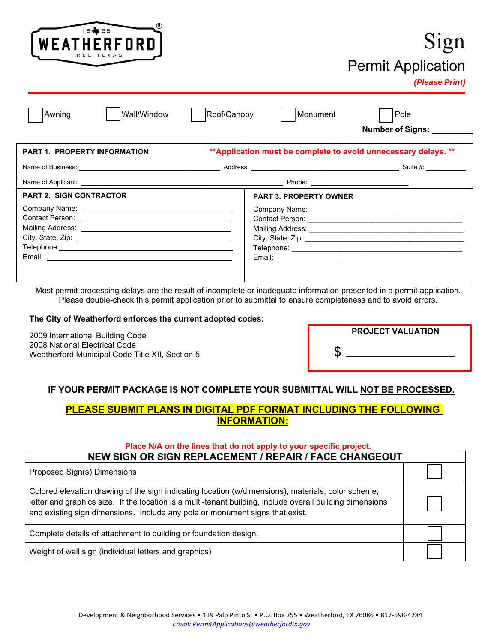

## Sign Permit Application

#### *(Please Print)*

| Awning |
|--------|
|        |

g | |Wall/Window | |Roof/Canopy | |Monument | |Pole

 **Number of Signs: \_\_\_\_\_\_\_\_\_**

| <b>PART 1. PROPERTY INFORMATION</b> | ** Application must be complete to avoid unnecessary delays. ** |                    |  |
|-------------------------------------|-----------------------------------------------------------------|--------------------|--|
|                                     |                                                                 | Suite #: _________ |  |
|                                     |                                                                 |                    |  |
| <b>PART 2. SIGN CONTRACTOR</b>      | <b>PART 3. PROPERTY OWNER</b>                                   |                    |  |
|                                     |                                                                 |                    |  |

Most permit processing delays are the result of incomplete or inadequate information presented in a permit application. Please double-check this permit application prior to submittal to ensure completeness and to avoid errors.

#### **The City of Weatherford enforces the current adopted codes:**

2009 International Building Code 2008 National Electrical Code Weatherford Municipal Code Title XII, Section 5

| <b>PROJECT VALUATION</b> |
|--------------------------|
|                          |

#### **IF YOUR PERMIT PACKAGE IS NOT COMPLETE YOUR SUBMITTAL WILL NOT BE PROCESSED.**

#### **PLEASE SUBMIT PLANS IN DIGITAL PDF FORMAT INCLUDING THE FOLLOWING INFORMATION:**

#### **Place N/A on the lines that do not apply to your specific project.**

| NEW SIGN OR SIGN REPLACEMENT / REPAIR / FACE CHANGEOUT                                                                                                                                                                                                                                          |  |  |
|-------------------------------------------------------------------------------------------------------------------------------------------------------------------------------------------------------------------------------------------------------------------------------------------------|--|--|
| Proposed Sign(s) Dimensions                                                                                                                                                                                                                                                                     |  |  |
| Colored elevation drawing of the sign indicating location (w/dimensions), materials, color scheme,<br>letter and graphics size. If the location is a multi-tenant building, include overall building dimensions<br>and existing sign dimensions. Include any pole or monument signs that exist. |  |  |
| Complete details of attachment to building or foundation design.                                                                                                                                                                                                                                |  |  |
| Weight of wall sign (individual letters and graphics)                                                                                                                                                                                                                                           |  |  |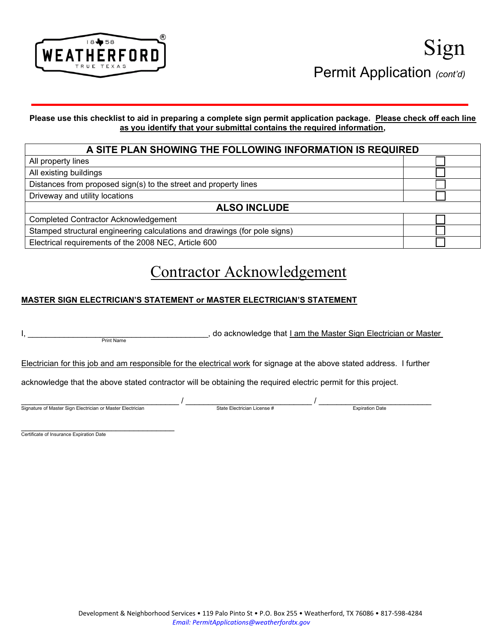

#### **Please use this checklist to aid in preparing a complete sign permit application package. Please check off each line as you identify that your submittal contains the required information,**

#### **A SITE PLAN SHOWING THE FOLLOWING INFORMATION IS REQUIRED** All property lines All existing buildings Distances from proposed sign(s) to the street and property lines Driveway and utility locations **ALSO INCLUDE** Completed Contractor Acknowledgement Stamped structural engineering calculations and drawings (for pole signs) Electrical requirements of the 2008 NEC, Article 600

## Contractor Acknowledgement

#### **MASTER SIGN ELECTRICIAN'S STATEMENT or MASTER ELECTRICIAN'S STATEMENT**

| <b>Print Name</b>                                                                                                      |                             | do acknowledge that I am the Master Sign Electrician or Master |  |  |  |
|------------------------------------------------------------------------------------------------------------------------|-----------------------------|----------------------------------------------------------------|--|--|--|
| Electrician for this job and am responsible for the electrical work for signage at the above stated address. I further |                             |                                                                |  |  |  |
| acknowledge that the above stated contractor will be obtaining the required electric permit for this project.          |                             |                                                                |  |  |  |
| Signature of Master Sign Electrician or Master Electrician                                                             | State Electrician License # | <b>Expiration Date</b>                                         |  |  |  |

Certificate of Insurance Expiration Date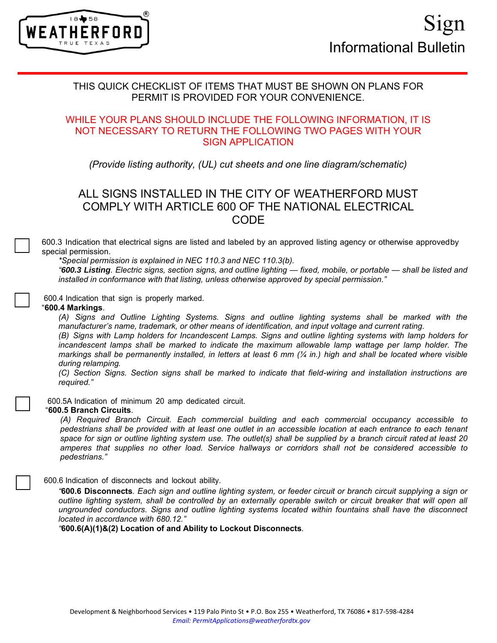

#### THIS QUICK CHECKLIST OF ITEMS THAT MUST BE SHOWN ON PLANS FOR PERMIT IS PROVIDED FOR YOUR CONVENIENCE.

#### WHILE YOUR PLANS SHOULD INCLUDE THE FOLLOWING INFORMATION, IT IS NOT NECESSARY TO RETURN THE FOLLOWING TWO PAGES WITH YOUR SIGN APPLICATION

*(Provide listing authority, (UL) cut sheets and one line diagram/schematic)*

### ALL SIGNS INSTALLED IN THE CITY OF WEATHERFORD MUST COMPLY WITH ARTICLE 600 OF THE NATIONAL ELECTRICAL CODE

600.3 Indication that electrical signs are listed and labeled by an approved listing agency or otherwise approved by special permission.

*\*Special permission is explained in NEC 110.3 and NEC 110.3(b).*

*"600.3 Listing. Electric signs, section signs, and outline lighting — fixed, mobile, or portable — shall be listed and installed in conformance with that listing, unless otherwise approved by special permission."*

600.4 Indication that sign is properly marked.

#### "**600.4 Markings**.

*(A) Signs and Outline Lighting Systems. Signs and outline lighting systems shall be marked with the manufacturer's name, trademark, or other means of identification, and input voltage and current rating.*

*(B) Signs with Lamp holders for Incandescent Lamps. Signs and outline lighting systems with lamp holders for incandescent lamps shall be marked to indicate the maximum allowable lamp wattage per lamp holder. The markings shall be permanently installed, in letters at least 6 mm (¼ in.) high and shall be located where visible during relamping.*

*(C) Section Signs. Section signs shall be marked to indicate that field-wiring and installation instructions are required."*

600.5A Indication of minimum 20 amp dedicated circuit.

#### "**600.5 Branch Circuits**.

*(A) Required Branch Circuit. Each commercial building and each commercial occupancy accessible to pedestrians shall be provided with at least one outlet in an accessible location at each entrance to each tenant* space for sign or outline lighting system use. The outlet(s) shall be supplied by a branch circuit rated at least 20 *amperes that supplies no other load. Service hallways or corridors shall not be considered accessible to pedestrians."*

#### 600.6 Indication of disconnects and lockout ability.

*"***600.6 Disconnects***. Each sign and outline lighting system, or feeder circuit or branch circuit supplying a sign or outline lighting system, shall be controlled by an externally operable switch or circuit breaker that will open all ungrounded conductors. Signs and outline lighting systems located within fountains shall have the disconnect located in accordance with 680.12."*

*"***600.6(A)(1)&(2) Location of and Ability to Lockout Disconnects***.*